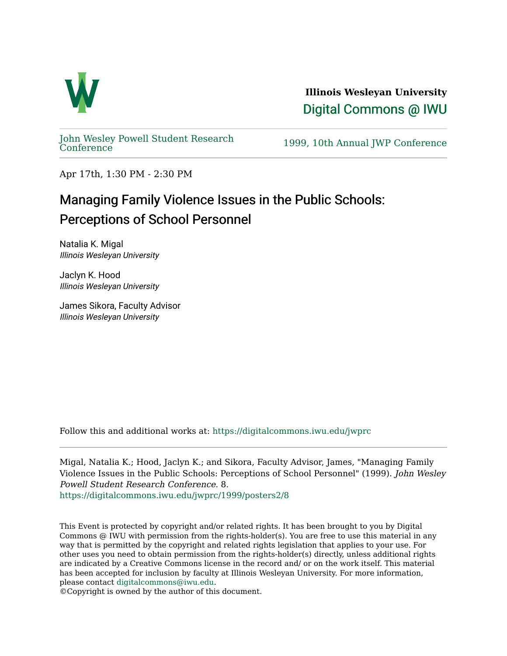

**Illinois Wesleyan University**  [Digital Commons @ IWU](https://digitalcommons.iwu.edu/) 

[John Wesley Powell Student Research](https://digitalcommons.iwu.edu/jwprc) 

1999, 10th Annual JWP [Conference](https://digitalcommons.iwu.edu/jwprc)

Apr 17th, 1:30 PM - 2:30 PM

## Managing Family Violence Issues in the Public Schools: Perceptions of School Personnel

Natalia K. Migal Illinois Wesleyan University

Jaclyn K. Hood Illinois Wesleyan University

James Sikora, Faculty Advisor Illinois Wesleyan University

Follow this and additional works at: [https://digitalcommons.iwu.edu/jwprc](https://digitalcommons.iwu.edu/jwprc?utm_source=digitalcommons.iwu.edu%2Fjwprc%2F1999%2Fposters2%2F8&utm_medium=PDF&utm_campaign=PDFCoverPages) 

Migal, Natalia K.; Hood, Jaclyn K.; and Sikora, Faculty Advisor, James, "Managing Family Violence Issues in the Public Schools: Perceptions of School Personnel" (1999). John Wesley Powell Student Research Conference. 8. [https://digitalcommons.iwu.edu/jwprc/1999/posters2/8](https://digitalcommons.iwu.edu/jwprc/1999/posters2/8?utm_source=digitalcommons.iwu.edu%2Fjwprc%2F1999%2Fposters2%2F8&utm_medium=PDF&utm_campaign=PDFCoverPages)

This Event is protected by copyright and/or related rights. It has been brought to you by Digital Commons @ IWU with permission from the rights-holder(s). You are free to use this material in any way that is permitted by the copyright and related rights legislation that applies to your use. For other uses you need to obtain permission from the rights-holder(s) directly, unless additional rights are indicated by a Creative Commons license in the record and/ or on the work itself. This material has been accepted for inclusion by faculty at Illinois Wesleyan University. For more information, please contact [digitalcommons@iwu.edu.](mailto:digitalcommons@iwu.edu)

©Copyright is owned by the author of this document.